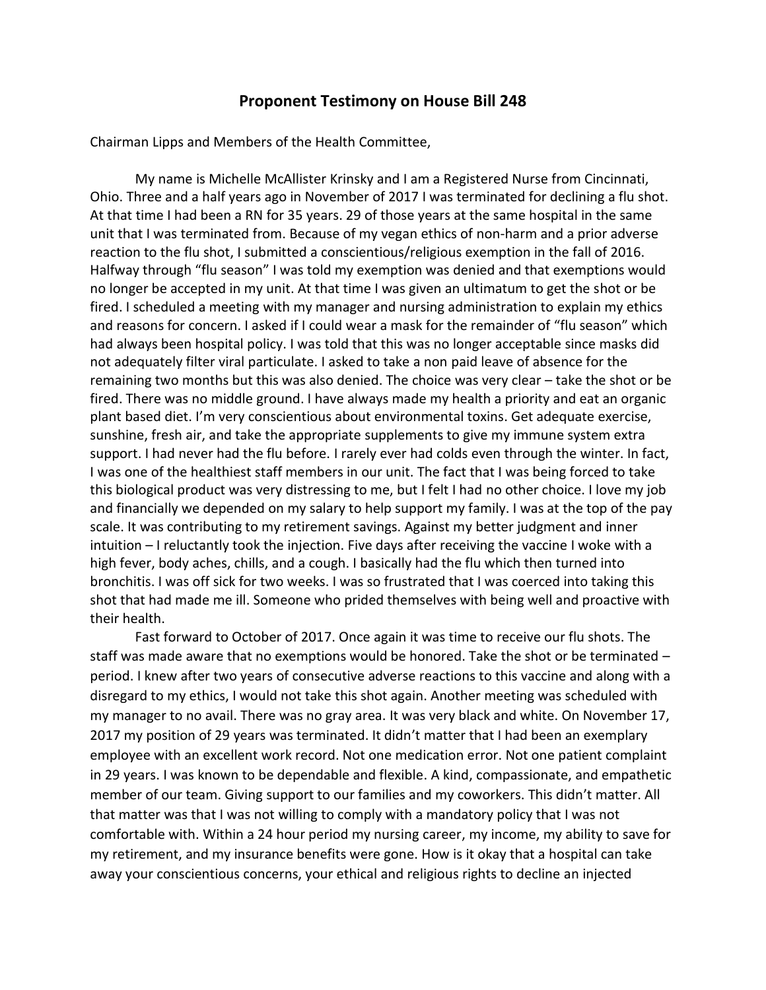## **Proponent Testimony on House Bill 248**

Chairman Lipps and Members of the Health Committee,

My name is Michelle McAllister Krinsky and I am a Registered Nurse from Cincinnati, Ohio. Three and a half years ago in November of 2017 I was terminated for declining a flu shot. At that time I had been a RN for 35 years. 29 of those years at the same hospital in the same unit that I was terminated from. Because of my vegan ethics of non-harm and a prior adverse reaction to the flu shot, I submitted a conscientious/religious exemption in the fall of 2016. Halfway through "flu season" I was told my exemption was denied and that exemptions would no longer be accepted in my unit. At that time I was given an ultimatum to get the shot or be fired. I scheduled a meeting with my manager and nursing administration to explain my ethics and reasons for concern. I asked if I could wear a mask for the remainder of "flu season" which had always been hospital policy. I was told that this was no longer acceptable since masks did not adequately filter viral particulate. I asked to take a non paid leave of absence for the remaining two months but this was also denied. The choice was very clear – take the shot or be fired. There was no middle ground. I have always made my health a priority and eat an organic plant based diet. I'm very conscientious about environmental toxins. Get adequate exercise, sunshine, fresh air, and take the appropriate supplements to give my immune system extra support. I had never had the flu before. I rarely ever had colds even through the winter. In fact, I was one of the healthiest staff members in our unit. The fact that I was being forced to take this biological product was very distressing to me, but I felt I had no other choice. I love my job and financially we depended on my salary to help support my family. I was at the top of the pay scale. It was contributing to my retirement savings. Against my better judgment and inner intuition – I reluctantly took the injection. Five days after receiving the vaccine I woke with a high fever, body aches, chills, and a cough. I basically had the flu which then turned into bronchitis. I was off sick for two weeks. I was so frustrated that I was coerced into taking this shot that had made me ill. Someone who prided themselves with being well and proactive with their health.

Fast forward to October of 2017. Once again it was time to receive our flu shots. The staff was made aware that no exemptions would be honored. Take the shot or be terminated – period. I knew after two years of consecutive adverse reactions to this vaccine and along with a disregard to my ethics, I would not take this shot again. Another meeting was scheduled with my manager to no avail. There was no gray area. It was very black and white. On November 17, 2017 my position of 29 years was terminated. It didn't matter that I had been an exemplary employee with an excellent work record. Not one medication error. Not one patient complaint in 29 years. I was known to be dependable and flexible. A kind, compassionate, and empathetic member of our team. Giving support to our families and my coworkers. This didn't matter. All that matter was that I was not willing to comply with a mandatory policy that I was not comfortable with. Within a 24 hour period my nursing career, my income, my ability to save for my retirement, and my insurance benefits were gone. How is it okay that a hospital can take away your conscientious concerns, your ethical and religious rights to decline an injected